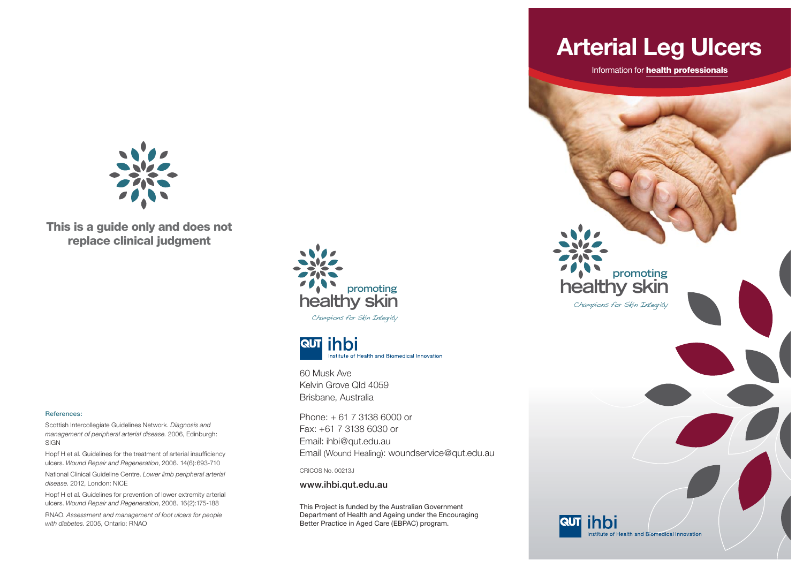

**This is a guide only and does not replace clinical judgment**

#### **References:**

Scottish Intercollegiate Guidelines Network. *Diagnosis and management of peripheral arterial disease.* 2006, Edinburgh: SIGN

Hopf H et al. Guidelines for the treatment of arterial insufficiency ulcers. *Wound Repair and Regeneration*, 2006. 14(6):693-710

National Clinical Guideline Centre. *Lower limb peripheral arterial disease*. 2012, London: NICE

Hopf H et al. Guidelines for prevention of lower extremity arterial ulcers. *Wound Repair and Regeneration*, 2008. 16(2):175-188

RNAO. *Assessment and management of foot ulcers for people with diabetes*. 2005, Ontario: RNAO





60 Musk Ave Kelvin Grove Qld 4059Brisbane, Australia

Phone: + 61 7 3138 6000 or Fax: +61 7 3138 6030 or Email: ihbi@qut.edu.au Email (Wound Healing): woundservice@qut.edu.au

CRICOS No. 00213J

**www.ihbi.qut.edu.au**

This Project is funded by the Australian Government Department of Health and Ageing under the Encouraging Better Practice in Aged Care (EBPAC) program.

# **Arterial Leg Ulcers**

Information for **health professionals**

**healthy skin**

**RUT** ihbi

Champions for Skin Integrity

**promoting**

Institute of Health and Biomedical Innovation